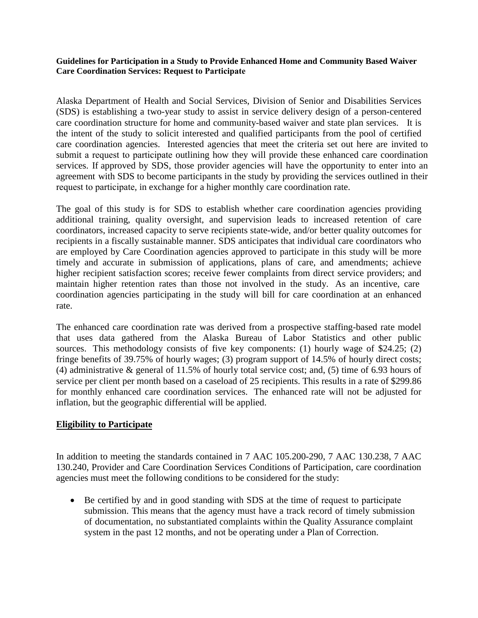**Guidelines for Participation in a Study to Provide Enhanced Home and Community Based Waiver Care Coordination Services: Request to Participate** 

Alaska Department of Health and Social Services, Division of Senior and Disabilities Services (SDS) is establishing a two-year study to assist in service delivery design of a person-centered care coordination structure for home and community-based waiver and state plan services. It is the intent of the study to solicit interested and qualified participants from the pool of certified care coordination agencies. Interested agencies that meet the criteria set out here are invited to submit a request to participate outlining how they will provide these enhanced care coordination services. If approved by SDS, those provider agencies will have the opportunity to enter into an agreement with SDS to become participants in the study by providing the services outlined in their request to participate, in exchange for a higher monthly care coordination rate.

The goal of this study is for SDS to establish whether care coordination agencies providing additional training, quality oversight, and supervision leads to increased retention of care coordinators, increased capacity to serve recipients state-wide, and/or better quality outcomes for recipients in a fiscally sustainable manner. SDS anticipates that individual care coordinators who are employed by Care Coordination agencies approved to participate in this study will be more timely and accurate in submission of applications, plans of care, and amendments; achieve higher recipient satisfaction scores; receive fewer complaints from direct service providers; and maintain higher retention rates than those not involved in the study. As an incentive, care coordination agencies participating in the study will bill for care coordination at an enhanced rate.

The enhanced care coordination rate was derived from a prospective staffing-based rate model that uses data gathered from the Alaska Bureau of Labor Statistics and other public sources. This methodology consists of five key components: (1) hourly wage of \$24.25; (2) fringe benefits of 39.75% of hourly wages; (3) program support of 14.5% of hourly direct costs; (4) administrative & general of 11.5% of hourly total service cost; and, (5) time of 6.93 hours of service per client per month based on a caseload of 25 recipients. This results in a rate of \$299.86 for monthly enhanced care coordination services. The enhanced rate will not be adjusted for inflation, but the geographic differential will be applied.

#### **Eligibility to Participate**

In addition to meeting the standards contained in 7 AAC 105.200-290, 7 AAC 130.238, 7 AAC 130.240, Provider and Care Coordination Services Conditions of Participation, care coordination agencies must meet the following conditions to be considered for the study:

• Be certified by and in good standing with SDS at the time of request to participate submission. This means that the agency must have a track record of timely submission of documentation, no substantiated complaints within the Quality Assurance complaint system in the past 12 months, and not be operating under a Plan of Correction.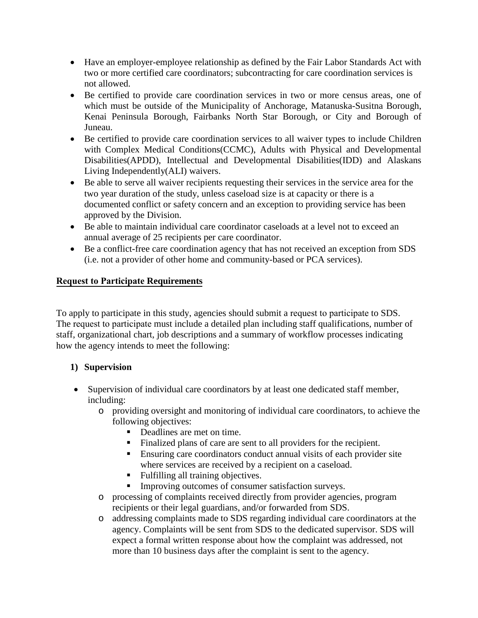- Have an employer-employee relationship as defined by the Fair Labor Standards Act with two or more certified care coordinators; subcontracting for care coordination services is not allowed.
- Be certified to provide care coordination services in two or more census areas, one of which must be outside of the Municipality of Anchorage, Matanuska-Susitna Borough, Kenai Peninsula Borough, Fairbanks North Star Borough, or City and Borough of Juneau.
- Be certified to provide care coordination services to all waiver types to include Children with Complex Medical Conditions(CCMC), Adults with Physical and Developmental Disabilities(APDD), Intellectual and Developmental Disabilities(IDD) and Alaskans Living Independently(ALI) waivers.
- Be able to serve all waiver recipients requesting their services in the service area for the two year duration of the study, unless caseload size is at capacity or there is a documented conflict or safety concern and an exception to providing service has been approved by the Division.
- Be able to maintain individual care coordinator caseloads at a level not to exceed an annual average of 25 recipients per care coordinator.
- Be a conflict-free care coordination agency that has not received an exception from SDS (i.e. not a provider of other home and community-based or PCA services).

# **Request to Participate Requirements**

To apply to participate in this study, agencies should submit a request to participate to SDS. The request to participate must include a detailed plan including staff qualifications, number of staff, organizational chart, job descriptions and a summary of workflow processes indicating how the agency intends to meet the following:

#### **1) Supervision**

- Supervision of individual care coordinators by at least one dedicated staff member, including:
	- o providing oversight and monitoring of individual care coordinators, to achieve the following objectives:
		- Deadlines are met on time.
		- Finalized plans of care are sent to all providers for the recipient.
		- Ensuring care coordinators conduct annual visits of each provider site where services are received by a recipient on a caseload.
		- Fulfilling all training objectives.
		- Improving outcomes of consumer satisfaction surveys.
	- o processing of complaints received directly from provider agencies, program recipients or their legal guardians, and/or forwarded from SDS.
	- o addressing complaints made to SDS regarding individual care coordinators at the agency. Complaints will be sent from SDS to the dedicated supervisor. SDS will expect a formal written response about how the complaint was addressed, not more than 10 business days after the complaint is sent to the agency.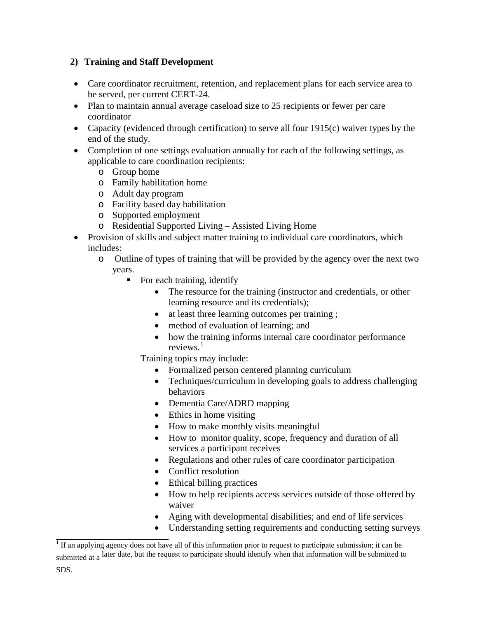## **2) Training and Staff Development**

- Care coordinator recruitment, retention, and replacement plans for each service area to be served, per current CERT-24.
- Plan to maintain annual average caseload size to 25 recipients or fewer per care coordinator
- Capacity (evidenced through certification) to serve all four 1915(c) waiver types by the end of the study.
- Completion of one settings evaluation annually for each of the following settings, as applicable to care coordination recipients:
	- o Group home
	- o Family habilitation home
	- o Adult day program
	- o Facility based day habilitation
	- o Supported employment
	- o Residential Supported Living Assisted Living Home
- Provision of skills and subject matter training to individual care coordinators, which includes:
	- o Outline of types of training that will be provided by the agency over the next two years.
		- For each training, identify
			- The resource for the training (instructor and credentials, or other learning resource and its credentials);
			- at least three learning outcomes per training;
			- method of evaluation of learning; and
			- how the training informs internal care coordinator performance reviews.<sup>[1](#page-2-0)</sup>

Training topics may include:

- Formalized person centered planning curriculum
- Techniques/curriculum in developing goals to address challenging behaviors
- Dementia Care/ADRD mapping
- Ethics in home visiting
- How to make monthly visits meaningful
- How to monitor quality, scope, frequency and duration of all services a participant receives
- Regulations and other rules of care coordinator participation
- Conflict resolution
- Ethical billing practices
- How to help recipients access services outside of those offered by waiver
- Aging with developmental disabilities; and end of life services
- Understanding setting requirements and conducting setting surveys

<span id="page-2-0"></span> $1$  If an applying agency does not have all of this information prior to request to participate submission; it can be submitted at a later date, but the request to participate should identify when that information will be submitted to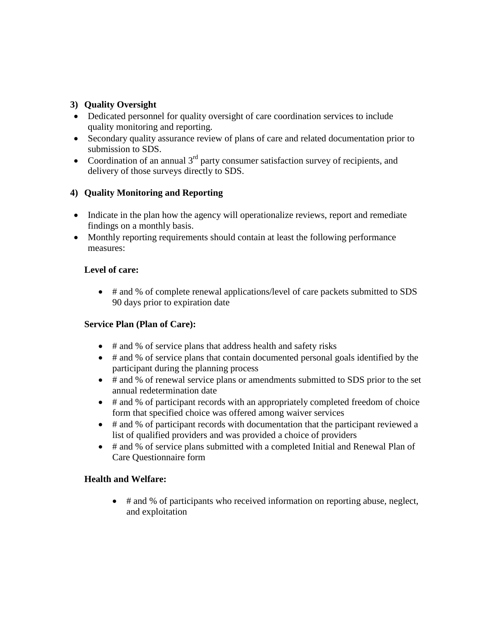## **3) Quality Oversight**

- Dedicated personnel for quality oversight of care coordination services to include quality monitoring and reporting.
- Secondary quality assurance review of plans of care and related documentation prior to submission to SDS.
- Coordination of an annual  $3<sup>rd</sup>$  party consumer satisfaction survey of recipients, and delivery of those surveys directly to SDS.

# **4) Quality Monitoring and Reporting**

- Indicate in the plan how the agency will operationalize reviews, report and remediate findings on a monthly basis.
- Monthly reporting requirements should contain at least the following performance measures:

## **Level of care:**

• # and % of complete renewal applications/level of care packets submitted to SDS 90 days prior to expiration date

# **Service Plan (Plan of Care):**

- # and % of service plans that address health and safety risks
- # and % of service plans that contain documented personal goals identified by the participant during the planning process
- # and % of renewal service plans or amendments submitted to SDS prior to the set annual redetermination date
- # and % of participant records with an appropriately completed freedom of choice form that specified choice was offered among waiver services
- # and % of participant records with documentation that the participant reviewed a list of qualified providers and was provided a choice of providers
- # and % of service plans submitted with a completed Initial and Renewal Plan of Care Questionnaire form

# **Health and Welfare:**

• # and % of participants who received information on reporting abuse, neglect, and exploitation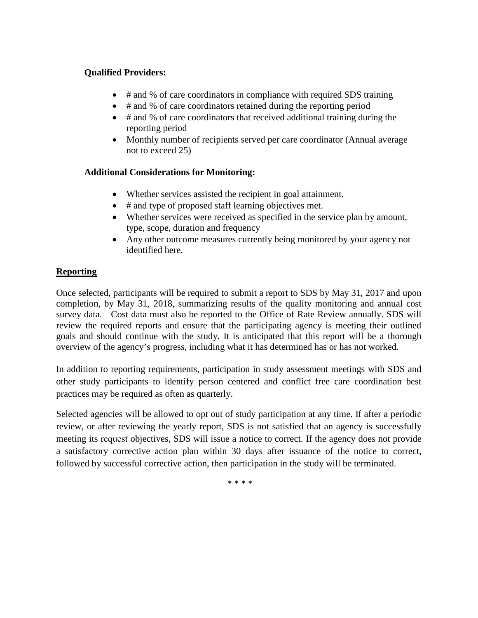#### **Qualified Providers:**

- # and % of care coordinators in compliance with required SDS training
- # and % of care coordinators retained during the reporting period
- # and % of care coordinators that received additional training during the reporting period
- Monthly number of recipients served per care coordinator (Annual average not to exceed 25)

## **Additional Considerations for Monitoring:**

- Whether services assisted the recipient in goal attainment.
- # and type of proposed staff learning objectives met.
- Whether services were received as specified in the service plan by amount, type, scope, duration and frequency
- Any other outcome measures currently being monitored by your agency not identified here.

## **Reporting**

Once selected, participants will be required to submit a report to SDS by May 31, 2017 and upon completion, by May 31, 2018, summarizing results of the quality monitoring and annual cost survey data. Cost data must also be reported to the Office of Rate Review annually. SDS will review the required reports and ensure that the participating agency is meeting their outlined goals and should continue with the study. It is anticipated that this report will be a thorough overview of the agency's progress, including what it has determined has or has not worked.

In addition to reporting requirements, participation in study assessment meetings with SDS and other study participants to identify person centered and conflict free care coordination best practices may be required as often as quarterly.

Selected agencies will be allowed to opt out of study participation at any time. If after a periodic review, or after reviewing the yearly report, SDS is not satisfied that an agency is successfully meeting its request objectives, SDS will issue a notice to correct. If the agency does not provide a satisfactory corrective action plan within 30 days after issuance of the notice to correct, followed by successful corrective action, then participation in the study will be terminated.

\* \* \* \*